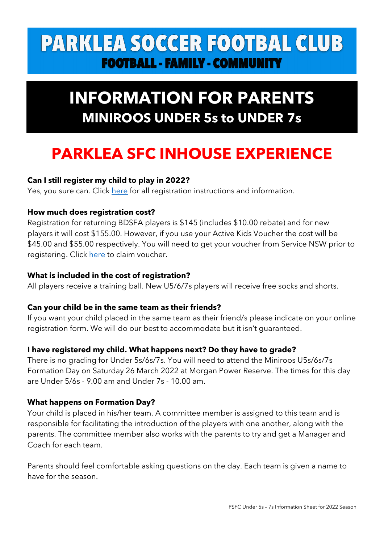# **PARKLEA SOCCER FOOTBAL CLUB FOOTBALL - FAMILY - COMMUNITY**

# **INFORMATION FOR PARENTS MINIROOS UNDER 5s to UNDER 7s**

# **PARKLEA SFC INHOUSE EXPERIENCE**

## **Can I still register my child to play in 2022?**

Yes, you sure can. Click here for all registration instructions and information.

## **How much does registration cost?**

Registration for returning BDSFA players is \$145 (includes \$10.00 rebate) and for new players it will cost \$155.00. However, if you use your Active Kids Voucher the cost will be \$45.00 and \$55.00 respectively. You will need to get your voucher from Service NSW prior to registering. Click here to claim voucher.

### **What is included in the cost of registration?**

All players receive a training ball. New U5/6/7s players will receive free socks and shorts.

### **Can your child be in the same team as their friends?**

If you want your child placed in the same team as their friend/s please indicate on your online registration form. We will do our best to accommodate but it isn't guaranteed.

### **I have registered my child. What happens next? Do they have to grade?**

There is no grading for Under 5s/6s/7s. You will need to attend the Miniroos U5s/6s/7s Formation Day on Saturday 26 March 2022 at Morgan Power Reserve. The times for this day are Under 5/6s - 9.00 am and Under 7s - 10.00 am.

### **What happens on Formation Day?**

Your child is placed in his/her team. A committee member is assigned to this team and is responsible for facilitating the introduction of the players with one another, along with the parents. The committee member also works with the parents to try and get a Manager and Coach for each team.

Parents should feel comfortable asking questions on the day. Each team is given a name to have for the season.